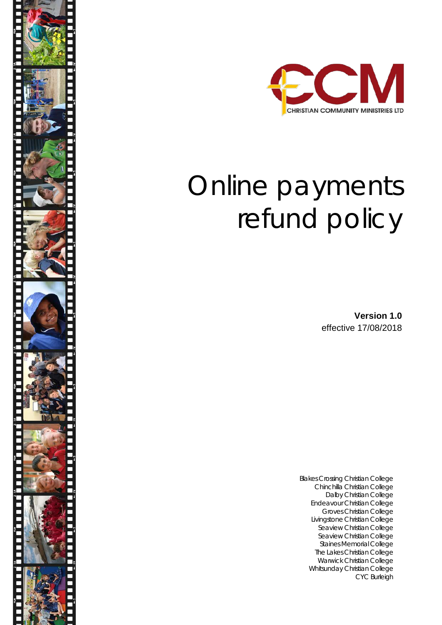

# Online payments refund policy

**Version 1.0** effective 17/08/2018

Blakes Crossing Christian College Chinchilla Christian College Dalby Christian College Endeavour Christian College Groves Christian College Livingstone Christian College Seaview Christian College Seaview Christian College Staines Memorial College The Lakes Christian College Warwick Christian College Whitsunday Christian College CYC Burleigh